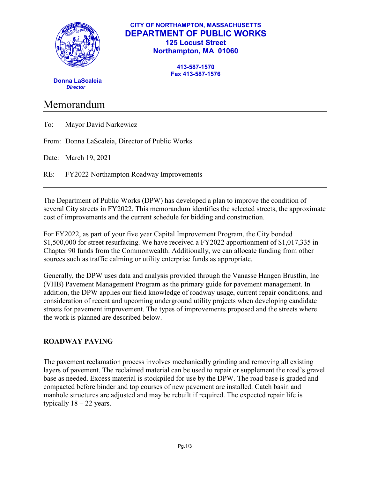

### **CITY OF NORTHAMPTON, MASSACHUSETTS DEPARTMENT OF PUBLIC WORKS 125 Locust Street Northampton, MA 01060**

**413-587-1570 Fax 413-587-1576**

 **Donna LaScaleia** *Director*

# Memorandum

| To: |  |  | Mayor David Narkewicz |
|-----|--|--|-----------------------|
|-----|--|--|-----------------------|

From: Donna LaScaleia, Director of Public Works

Date: March 19, 2021

RE: FY2022 Northampton Roadway Improvements

The Department of Public Works (DPW) has developed a plan to improve the condition of several City streets in FY2022. This memorandum identifies the selected streets, the approximate cost of improvements and the current schedule for bidding and construction.

For FY2022, as part of your five year Capital Improvement Program, the City bonded \$1,500,000 for street resurfacing. We have received a FY2022 apportionment of \$1,017,335 in Chapter 90 funds from the Commonwealth. Additionally, we can allocate funding from other sources such as traffic calming or utility enterprise funds as appropriate.

Generally, the DPW uses data and analysis provided through the Vanasse Hangen Brustlin, Inc (VHB) Pavement Management Program as the primary guide for pavement management. In addition, the DPW applies our field knowledge of roadway usage, current repair conditions, and consideration of recent and upcoming underground utility projects when developing candidate streets for pavement improvement. The types of improvements proposed and the streets where the work is planned are described below.

# **ROADWAY PAVING**

The pavement reclamation process involves mechanically grinding and removing all existing layers of pavement. The reclaimed material can be used to repair or supplement the road's gravel base as needed. Excess material is stockpiled for use by the DPW. The road base is graded and compacted before binder and top courses of new pavement are installed. Catch basin and manhole structures are adjusted and may be rebuilt if required. The expected repair life is typically  $18 - 22$  years.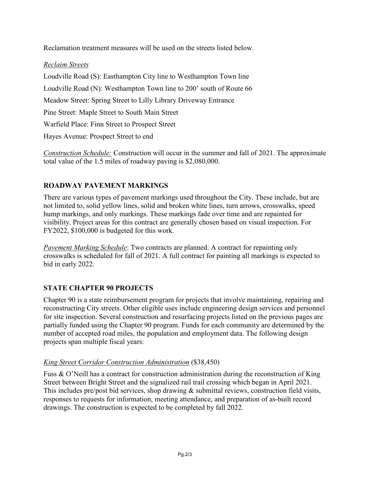Reclamation treatment measures will be used on the streets listed below.

## *Reclaim Streets*

Loudville Road (S): Easthampton City line to Westhampton Town line Loudville Road (N): Westhampton Town line to 200' south of Route 66 Meadow Street: Spring Street to Lilly Library Driveway Entrance Pine Street: Maple Street to South Main Street Warfield Place: Finn Street to Prospect Street Hayes Avenue: Prospect Street to end

*Construction Schedule:* Construction will occur in the summer and fall of 2021. The approximate total value of the 1.5 miles of roadway paving is \$2,080,000.

# **ROADWAY PAVEMENT MARKINGS**

There are various types of pavement markings used throughout the City. These include, but are not limited to, solid yellow lines, solid and broken white lines, turn arrows, crosswalks, speed hump markings, and only markings. These markings fade over time and are repainted for visibility. Project areas for this contract are generally chosen based on visual inspection. For FY2022, \$100,000 is budgeted for this work.

*Pavement Marking Schedule*: Two contracts are planned. A contract for repainting only crosswalks is scheduled for fall of 2021. A full contract for painting all markings is expected to bid in early 2022.

# **STATE CHAPTER 90 PROJECTS**

Chapter 90 is a state reimbursement program for projects that involve maintaining, repairing and reconstructing City streets. Other eligible uses include engineering design services and personnel for site inspection. Several construction and resurfacing projects listed on the previous pages are partially funded using the Chapter 90 program. Funds for each community are determined by the number of accepted road miles, the population and employment data. The following design projects span multiple fiscal years:

#### *King Street Corridor Construction Administration* (\$38,450)

Fuss & O'Neill has a contract for construction administration during the reconstruction of King Street between Bright Street and the signalized rail trail crossing which began in April 2021. This includes pre/post bid services, shop drawing & submittal reviews, construction field visits, responses to requests for information, meeting attendance, and preparation of as-built record drawings. The construction is expected to be completed by fall 2022.